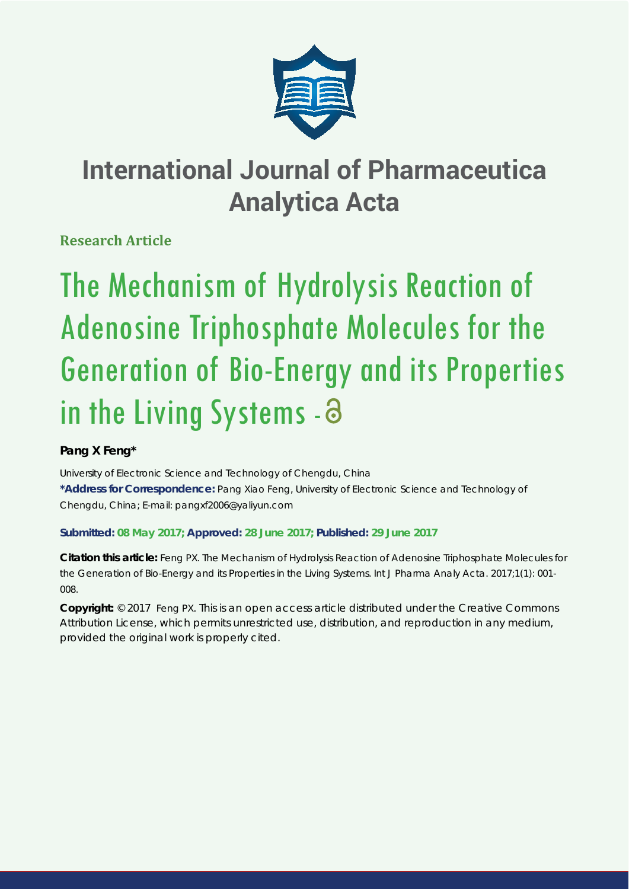

# **International Journal of Pharmaceutica Analytica Acta**

**Research Article**

# The Mechanism of Hydrolysis Reaction of Adenosine Triphosphate Molecules for the Generation of Bio-Energy and its Properties in the Living Systems - a

## **Pang X Feng\***

*University of Electronic Science and Technology of Chengdu, China*

**\*Address for Correspondence:** Pang Xiao Feng, University of Electronic Science and Technology of Chengdu, China; E-mail: pangxf2006@yaliyun.com

### **Submitted: 08 May 2017; Approved: 28 June 2017; Published: 29 June 2017**

**Citation this article:** Feng PX. The Mechanism of Hydrolysis Reaction of Adenosine Triphosphate Molecules for the Generation of Bio-Energy and its Properties in the Living Systems. Int J Pharma Analy Acta. 2017;1(1): 001- 008.

**Copyright:** © 2017 Feng PX. This is an open access article distributed under the Creative Commons Attribution License, which permits unrestricted use, distribution, and reproduction in any medium, provided the original work is properly cited.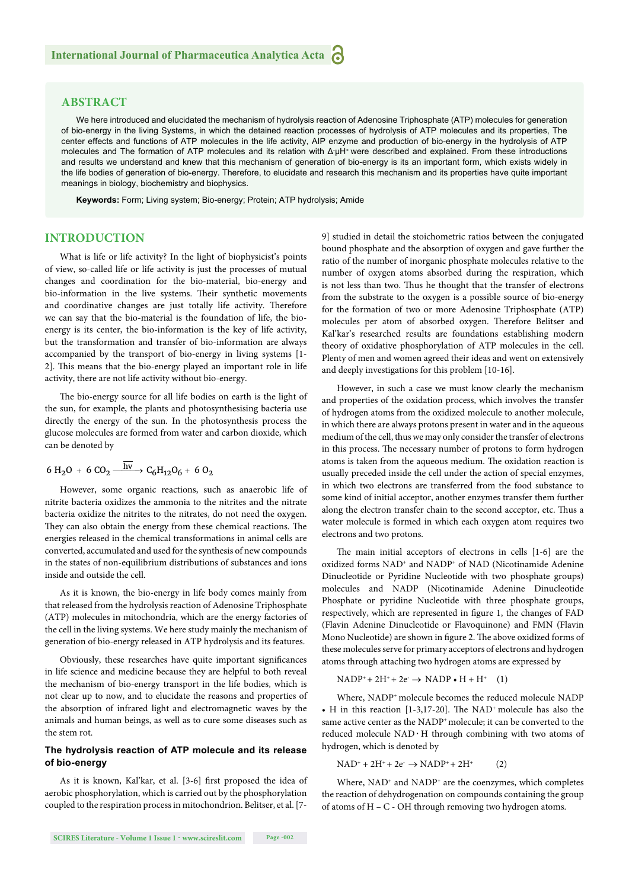#### **ABSTRACT**

We here introduced and elucidated the mechanism of hydrolysis reaction of Adenosine Triphosphate (ATP) molecules for generation of bio-energy in the living Systems, in which the detained reaction processes of hydrolysis of ATP molecules and its properties, The center effects and functions of ATP molecules in the life activity, AIP enzyme and production of bio-energy in the hydrolysis of ATP molecules and The formation of ATP molecules and its relation with Δ μH<sup>+</sup> were described and explained. From these introductions and results we understand and knew that this mechanism of generation of bio-energy is its an important form, which exists widely in the life bodies of generation of bio-energy. Therefore, to elucidate and research this mechanism and its properties have quite important meanings in biology, biochemistry and biophysics.

**Keywords:** Form; Living system; Bio-energy; Protein; ATP hydrolysis; Amide

#### **INTRODUCTION**

What is life or life activity? In the light of biophysicist's points of view, so-called life or life activity is just the processes of mutual changes and coordination for the bio-material, bio-energy and bio-information in the live systems. Their synthetic movements and coordinative changes are just totally life activity. Therefore we can say that the bio-material is the foundation of life, the bioenergy is its center, the bio-information is the key of life activity, but the transformation and transfer of bio-information are always accompanied by the transport of bio-energy in living systems [1- 2]. This means that the bio-energy played an important role in life activity, there are not life activity without bio-energy.

The bio-energy source for all life bodies on earth is the light of the sun, for example, the plants and photosynthesising bacteria use directly the energy of the sun. In the photosynthesis process the glucose molecules are formed from water and carbon dioxide, which can be denoted by

$$
6 \text{ H}_2\text{O} + 6 \text{ CO}_2 \xrightarrow{\text{hv}} C_6\text{H}_{12}\text{O}_6 + 6 \text{ O}_2
$$

However, some organic reactions, such as anaerobic life of nitrite bacteria oxidizes the ammonia to the nitrites and the nitrate bacteria oxidize the nitrites to the nitrates, do not need the oxygen. They can also obtain the energy from these chemical reactions. The energies released in the chemical transformations in animal cells are converted, accumulated and used for the synthesis of new compounds in the states of non-equilibrium distributions of substances and ions inside and outside the cell.

As it is known, the bio-energy in life body comes mainly from that released from the hydrolysis reaction of Adenosine Triphosphate (ATP) molecules in mitochondria, which are the energy factories of the cell in the living systems. We here study mainly the mechanism of generation of bio-energy released in ATP hydrolysis and its features.

Obviously, these researches have quite important significances in life science and medicine because they are helpful to both reveal the mechanism of bio-energy transport in the life bodies, which is not clear up to now, and to elucidate the reasons and properties of the absorption of infrared light and electromagnetic waves by the animals and human beings, as well as to cure some diseases such as the stem rot.

#### **The hydrolysis reaction of ATP molecule and its release of bio-energy**

As it is known, Kal'kar, et al. [3-6] first proposed the idea of aerobic phosphorylation, which is carried out by the phosphorylation coupled to the respiration process in mitochondrion. Belitser, et al. [79] studied in detail the stoichometric ratios between the conjugated bound phosphate and the absorption of oxygen and gave further the ratio of the number of inorganic phosphate molecules relative to the number of oxygen atoms absorbed during the respiration, which is not less than two. Thus he thought that the transfer of electrons from the substrate to the oxygen is a possible source of bio-energy for the formation of two or more Adenosine Triphosphate (ATP) molecules per atom of absorbed oxygen. Therefore Belitser and Kal'kar's researched results are foundations establishing modern theory of oxidative phosphorylation of ATP molecules in the cell. Plenty of men and women agreed their ideas and went on extensively and deeply investigations for this problem [10-16].

However, in such a case we must know clearly the mechanism and properties of the oxidation process, which involves the transfer of hydrogen atoms from the oxidized molecule to another molecule, in which there are always protons present in water and in the aqueous medium of the cell, thus we may only consider the transfer of electrons in this process. The necessary number of protons to form hydrogen atoms is taken from the aqueous medium. The oxidation reaction is usually preceded inside the cell under the action of special enzymes, in which two electrons are transferred from the food substance to some kind of initial acceptor, another enzymes transfer them further along the electron transfer chain to the second acceptor, etc. Thus a water molecule is formed in which each oxygen atom requires two electrons and two protons.

The main initial acceptors of electrons in cells  $[1-6]$  are the oxidized forms NAD<sup>+</sup> and NADP<sup>+</sup> of NAD (Nicotinamide Adenine Dinucleotide or Pyridine Nucleotide with two phosphate groups) molecules and NADP (Nicotinamide Adenine Dinucleotide Phosphate or pyridine Nucleotide with three phosphate groups, respectively, which are represented in figure 1, the changes of FAD (Flavin Adenine Dinucleotide or Flavoquinone) and FMN (Flavin Mono Nucleotide) are shown in figure 2. The above oxidized forms of these molecules serve for primary acceptors of electrons and hydrogen atoms through attaching two hydrogen atoms are expressed by

$$
NADP^{+} + 2H^{+} + 2e^{-} \rightarrow NADP \bullet H + H^{+} \quad (1)
$$

Where, NADP<sup>+</sup> molecule becomes the reduced molecule NADP • H in this reaction  $[1-3,17-20]$ . The NAD<sup>+</sup> molecule has also the same active center as the NADP<sup>+</sup> molecule; it can be converted to the reduced molecule  $NAD \cdot H$  through combining with two atoms of hydrogen, which is denoted by

 $NAD^{+} + 2H^{+} + 2e^{-} \rightarrow NADP^{+} + 2H^{+}$  (2)

Where, NAD<sup>+</sup> and NADP<sup>+</sup> are the coenzymes, which completes the reaction of dehydrogenation on compounds containing the group of atoms of H – C - OH through removing two hydrogen atoms.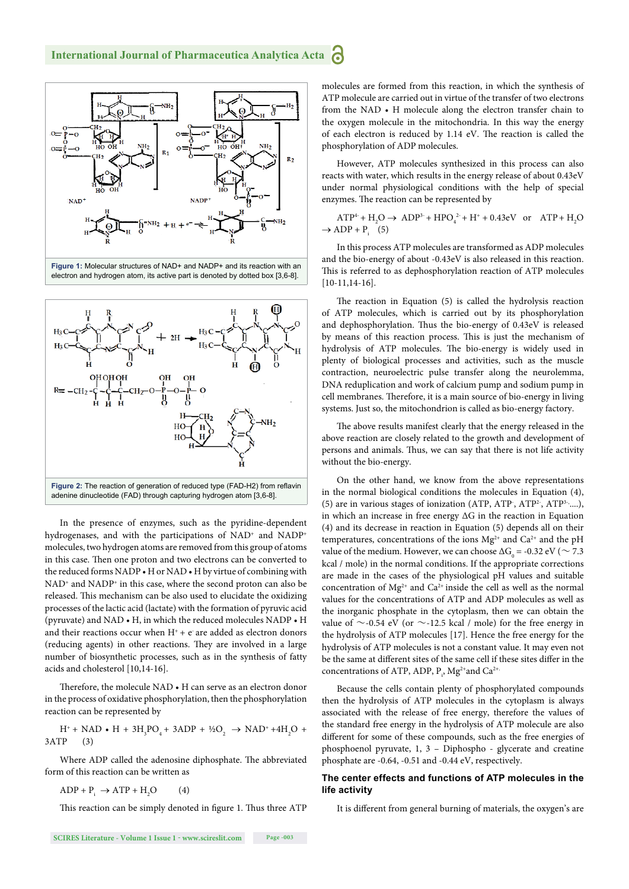

electron and hydrogen atom, its active part is denoted by dotted box [3,6-8].



In the presence of enzymes, such as the pyridine-dependent hydrogenases, and with the participations of NAD<sup>+</sup> and NADP<sup>+</sup> molecules, two hydrogen atoms are removed from this group of atoms in this case. Then one proton and two electrons can be converted to the reduced forms NADP • H or NAD • H by virtue of combining with NAD<sup>+</sup> and NADP<sup>+</sup> in this case, where the second proton can also be released. This mechanism can be also used to elucidate the oxidizing processes of the lactic acid (lactate) with the formation of pyruvic acid (pyruvate) and NAD • H, in which the reduced molecules NADP • H and their reactions occur when  $H^+$  +  $e^-$  are added as electron donors (reducing agents) in other reactions. They are involved in a large number of biosynthetic processes, such as in the synthesis of fatty acids and cholesterol [10,14-16].

Therefore, the molecule NAD • H can serve as an electron donor in the process of oxidative phosphorylation, then the phosphorylation reaction can be represented by

 $H^+$  + NAD • H + 3H<sub>3</sub>PO<sub>4</sub> + 3ADP + ½O<sub>2</sub>  $\rightarrow$  NAD<sup>+</sup> +4H<sub>2</sub>O + 3ATP (3)

Where ADP called the adenosine diphosphate. The abbreviated form of this reaction can be written as

 $ADP + P_i \rightarrow ATP + H_2$  $(4)$ 

This reaction can be simply denoted in figure 1. Thus three ATP

**SCIRES Literature - Volume 1 Issue 1 - www.scireslit.com Page -003**

molecules are formed from this reaction, in which the synthesis of ATP molecule are carried out in virtue of the transfer of two electrons from the NAD • H molecule along the electron transfer chain to the oxygen molecule in the mitochondria. In this way the energy of each electron is reduced by 1.14 eV. The reaction is called the phosphorylation of ADP molecules.

However, ATP molecules synthesized in this process can also reacts with water, which results in the energy release of about 0.43eV under normal physiological conditions with the help of special enzymes. The reaction can be represented by

$$
ATP4 + H2O \rightarrow ADP3 + HPO42 + H+ + 0.43eV or ATP + H2O
$$
  

$$
\rightarrow ADP + Pi (5)
$$

In this process ATP molecules are transformed as ADP molecules and the bio-energy of about -0.43eV is also released in this reaction. This is referred to as dephosphorylation reaction of ATP molecules [10-11,14-16].

The reaction in Equation  $(5)$  is called the hydrolysis reaction of ATP molecules, which is carried out by its phosphorylation and dephosphorylation. Thus the bio-energy of 0.43eV is released by means of this reaction process. This is just the mechanism of hydrolysis of ATP molecules. The bio-energy is widely used in plenty of biological processes and activities, such as the muscle contraction, neuroelectric pulse transfer along the neurolemma, DNA reduplication and work of calcium pump and sodium pump in cell membranes. Therefore, it is a main source of bio-energy in living systems. Just so, the mitochondrion is called as bio-energy factory.

The above results manifest clearly that the energy released in the above reaction are closely related to the growth and development of persons and animals. Thus, we can say that there is not life activity without the bio-energy.

On the other hand, we know from the above representations in the normal biological conditions the molecules in Equation (4), (5) are in various stages of ionization (ATP, ATP<sup>3</sup>, ATP<sup>3-,</sup>....), in which an increase in free energy ΔG in the reaction in Equation (4) and its decrease in reaction in Equation (5) depends all on their temperatures, concentrations of the ions  $Mg^{2+}$  and  $Ca^{2+}$  and the pH value of the medium. However, we can choose  $\Delta G_{_0}$  = -0.32 eV (  $\sim 7.3$ kcal / mole) in the normal conditions. If the appropriate corrections are made in the cases of the physiological pH values and suitable concentration of  $Mg^{2+}$  and  $Ca^{2+}$  inside the cell as well as the normal values for the concentrations of ATP and ADP molecules as well as the inorganic phosphate in the cytoplasm, then we can obtain the value of  $\sim$ -0.54 eV (or  $\sim$ -12.5 kcal / mole) for the free energy in the hydrolysis of ATP molecules [17]. Hence the free energy for the hydrolysis of ATP molecules is not a constant value. It may even not be the same at different sites of the same cell if these sites differ in the concentrations of ATP, ADP,  $P_i$ , Mg<sup>2+</sup> and Ca<sup>2+</sup>

Because the cells contain plenty of phosphorylated compounds then the hydrolysis of ATP molecules in the cytoplasm is always associated with the release of free energy, therefore the values of the standard free energy in the hydrolysis of ATP molecule are also different for some of these compounds, such as the free energies of phosphoenol pyruvate, 1, 3 – Diphospho - glycerate and creatine phosphate are -0.64, -0.51 and -0.44 eV, respectively.

#### **The center effects and functions of ATP molecules in the life activity**

It is different from general burning of materials, the oxygen's are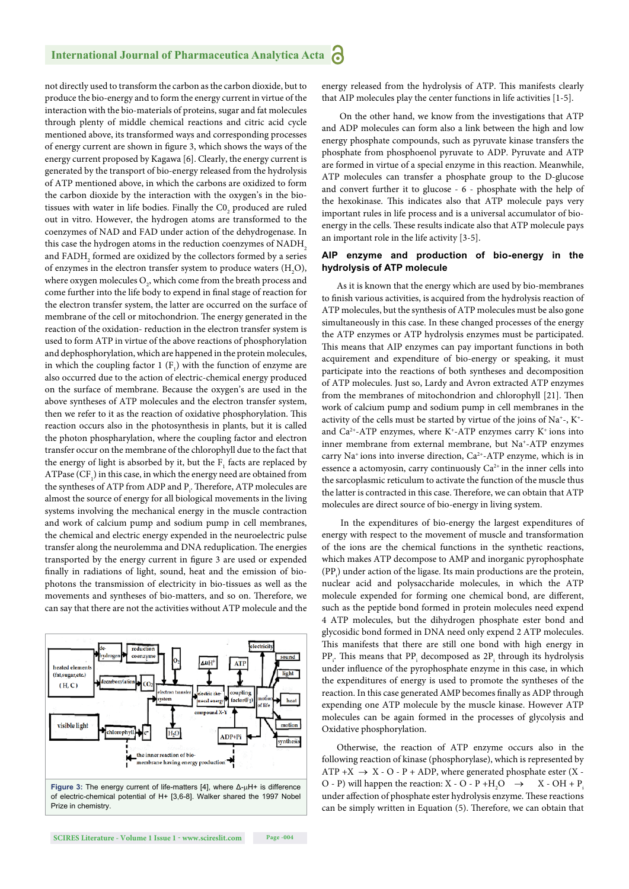#### **International Journal of Pharmaceutica Analytica Acta P**

not directly used to transform the carbon as the carbon dioxide, but to produce the bio-energy and to form the energy current in virtue of the interaction with the bio-materials of proteins, sugar and fat molecules through plenty of middle chemical reactions and citric acid cycle mentioned above, its transformed ways and corresponding processes of energy current are shown in figure 3, which shows the ways of the energy current proposed by Kagawa [6]. Clearly, the energy current is generated by the transport of bio-energy released from the hydrolysis of ATP mentioned above, in which the carbons are oxidized to form the carbon dioxide by the interaction with the oxygen's in the biotissues with water in life bodies. Finally the  $\mathrm{C0}_2$  produced are ruled out in vitro. However, the hydrogen atoms are transformed to the coenzymes of NAD and FAD under action of the dehydrogenase. In this case the hydrogen atoms in the reduction coenzymes of NADH<sub>2</sub> and  ${\rm FADH}_{_2}$  formed are oxidized by the collectors formed by a series of enzymes in the electron transfer system to produce waters  $(H_2O)$ , where oxygen molecules  $\mathrm{O}_2$  which come from the breath process and come further into the life body to expend in final stage of reaction for the electron transfer system, the latter are occurred on the surface of membrane of the cell or mitochondrion. The energy generated in the reaction of the oxidation- reduction in the electron transfer system is used to form ATP in virtue of the above reactions of phosphorylation and dephosphorylation, which are happened in the protein molecules, in which the coupling factor 1  $(F_1)$  with the function of enzyme are also occurred due to the action of electric-chemical energy produced on the surface of membrane. Because the oxygen's are used in the above syntheses of ATP molecules and the electron transfer system, then we refer to it as the reaction of oxidative phosphorylation. This reaction occurs also in the photosynthesis in plants, but it is called the photon phospharylation, where the coupling factor and electron transfer occur on the membrane of the chlorophyll due to the fact that the energy of light is absorbed by it, but the  $F_1$  facts are replaced by ATPase  $(\mathrm{CF}_{\scriptscriptstyle{1}})$  in this case, in which the energy need are obtained from the syntheses of ATP from ADP and  $\mathrm{P}_\mathrm{i}.$  Therefore, ATP molecules are almost the source of energy for all biological movements in the living systems involving the mechanical energy in the muscle contraction and work of calcium pump and sodium pump in cell membranes, the chemical and electric energy expended in the neuroelectric pulse transfer along the neurolemma and DNA reduplication. The energies transported by the energy current in figure 3 are used or expended finally in radiations of light, sound, heat and the emission of biophotons the transmission of electricity in bio-tissues as well as the movements and syntheses of bio-matters, and so on. Therefore, we can say that there are not the activities without ATP molecule and the



Figure 3: The energy current of life-matters [4], where Δ-μH+ is difference of electric-chemical potential of H+ [3,6-8]. Walker shared the 1997 Nobel Prize in chemistry.

energy released from the hydrolysis of ATP. This manifests clearly that AIP molecules play the center functions in life activities [1-5].

On the other hand, we know from the investigations that ATP and ADP molecules can form also a link between the high and low energy phosphate compounds, such as pyruvate kinase transfers the phosphate from phosphoenol pyruvate to ADP. Pyruvate and ATP are formed in virtue of a special enzyme in this reaction. Meanwhile, ATP molecules can transfer a phosphate group to the D-glucose and convert further it to glucose - 6 - phosphate with the help of the hexokinase. This indicates also that ATP molecule pays very important rules in life process and is a universal accumulator of bioenergy in the cells. These results indicate also that ATP molecule pays an important role in the life activity [3-5].

#### **AIP enzyme and production of bio-energy in the hydrolysis of ATP molecule**

As it is known that the energy which are used by bio-membranes to finish various activities, is acquired from the hydrolysis reaction of ATP molecules, but the synthesis of ATP molecules must be also gone simultaneously in this case. In these changed processes of the energy the ATP enzymes or ATP hydrolysis enzymes must be participated. This means that AIP enzymes can pay important functions in both acquirement and expenditure of bio-energy or speaking, it must participate into the reactions of both syntheses and decomposition of ATP molecules. Just so, Lardy and Avron extracted ATP enzymes from the membranes of mitochondrion and chlorophyll [21]. Then work of calcium pump and sodium pump in cell membranes in the activity of the cells must be started by virtue of the joins of Na<sup>+</sup>-, K<sup>+</sup>and  $Ca^{2+}-ATP$  enzymes, where  $K^+$ -ATP enzymes carry  $K^+$  ions into inner membrane from external membrane, but Na+-ATP enzymes carry Na+ ions into inverse direction, Ca2+-ATP enzyme, which is in essence a actomyosin, carry continuously  $Ca^{2+}$  in the inner cells into the sarcoplasmic reticulum to activate the function of the muscle thus the latter is contracted in this case. Therefore, we can obtain that ATP molecules are direct source of bio-energy in living system.

 In the expenditures of bio-energy the largest expenditures of energy with respect to the movement of muscle and transformation of the ions are the chemical functions in the synthetic reactions, which makes ATP decompose to AMP and inorganic pyrophosphate  $(PP<sub>i</sub>)$  under action of the ligase. Its main productions are the protein, nuclear acid and polysaccharide molecules, in which the ATP molecule expended for forming one chemical bond, are different, such as the peptide bond formed in protein molecules need expend 4 ATP molecules, but the dihydrogen phosphate ester bond and glycosidic bond formed in DNA need only expend 2 ATP molecules. This manifests that there are still one bond with high energy in  $PP_i$ . This means that  $PP_i$  decomposed as  $2P_i$  through its hydrolysis under influence of the pyrophosphate enzyme in this case, in which the expenditures of energy is used to promote the syntheses of the reaction. In this case generated AMP becomes finally as ADP through expending one ATP molecule by the muscle kinase. However ATP molecules can be again formed in the processes of glycolysis and Oxidative phosphorylation.

Otherwise, the reaction of ATP enzyme occurs also in the following reaction of kinase (phosphorylase), which is represented by ATP +X  $\rightarrow$  X - O - P + ADP, where generated phosphate ester (X -O - P) will happen the reaction: X - O - P + H<sub>2</sub>O  $\rightarrow$  X - OH + P<sub>1</sub> under affection of phosphate ester hydrolysis enzyme. These reactions can be simply written in Equation (5). Therefore, we can obtain that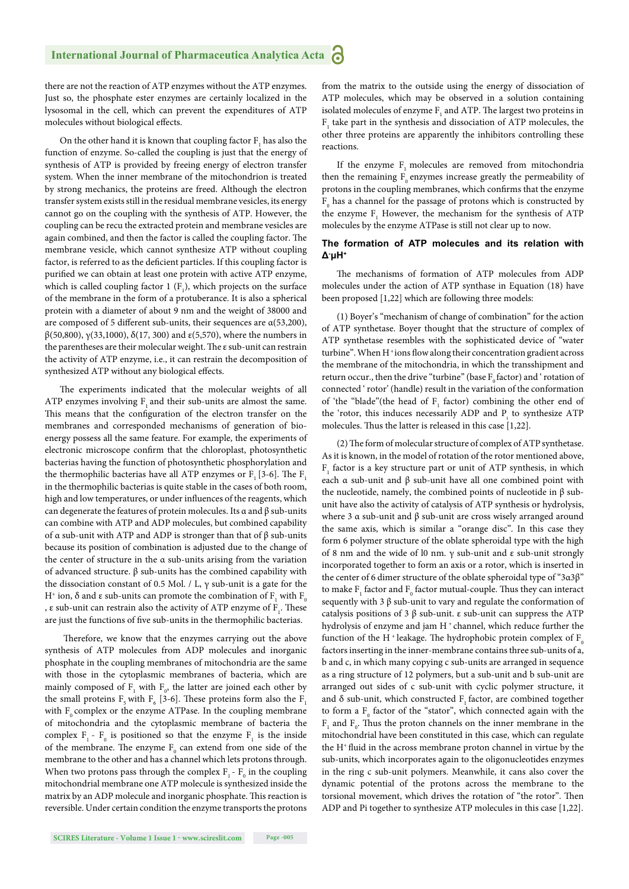there are not the reaction of ATP enzymes without the ATP enzymes. Just so, the phosphate ester enzymes are certainly localized in the lysosomal in the cell, which can prevent the expenditures of ATP molecules without biological effects.

On the other hand it is known that coupling factor  $F_1$  has also the function of enzyme. So-called the coupling is just that the energy of synthesis of ATP is provided by freeing energy of electron transfer system. When the inner membrane of the mitochondrion is treated by strong mechanics, the proteins are freed. Although the electron transfer system exists still in the residual membrane vesicles, its energy cannot go on the coupling with the synthesis of ATP. However, the coupling can be recu the extracted protein and membrane vesicles are again combined, and then the factor is called the coupling factor. The membrane vesicle, which cannot synthesize ATP without coupling factor, is referred to as the deficient particles. If this coupling factor is purified we can obtain at least one protein with active ATP enzyme, which is called coupling factor  $1 (F_1)$ , which projects on the surface of the membrane in the form of a protuberance. It is also a spherical protein with a diameter of about 9 nm and the weight of 38000 and are composed of 5 different sub-units, their sequences are  $\alpha$ (53,200), β(50,800), γ(33,1000), δ(17, 300) and ε(5,570), where the numbers in the parentheses are their molecular weight. The ε sub-unit can restrain the activity of ATP enzyme, i.e., it can restrain the decomposition of synthesized ATP without any biological effects.

The experiments indicated that the molecular weights of all ATP enzymes involving F, and their sub-units are almost the same. This means that the configuration of the electron transfer on the membranes and corresponded mechanisms of generation of bioenergy possess all the same feature. For example, the experiments of electronic microscope confirm that the chloroplast, photosynthetic bacterias having the function of photosynthetic phosphorylation and the thermophilic bacterias have all ATP enzymes or  $F_1$  [3-6]. The  $F_1$ in the thermophilic bacterias is quite stable in the cases of both room, high and low temperatures, or under influences of the reagents, which can degenerate the features of protein molecules. Its  $\alpha$  and  $\beta$  sub-units can combine with ATP and ADP molecules, but combined capability of α sub-unit with ATP and ADP is stronger than that of β sub-units because its position of combination is adjusted due to the change of the center of structure in the α sub-units arising from the variation of advanced structure. β sub-units has the combined capability with the dissociation constant of 0.5 Mol. / L, γ sub-unit is a gate for the H<sup>+</sup> ion, δ and ε sub-units can promote the combination of  $\text{F}_{1}$  with  $\text{F}_{0}$ , ε sub-unit can restrain also the activity of ATP enzyme of  $\mathrm{F_{_{1}}}$  . These are just the functions of five sub-units in the thermophilic bacterias.

Therefore, we know that the enzymes carrying out the above synthesis of ATP molecules from ADP molecules and inorganic phosphate in the coupling membranes of mitochondria are the same with those in the cytoplasmic membranes of bacteria, which are mainly composed of  $F_1$  with  $F_0$ , the latter are joined each other by the small proteins  $F_5$  with  $F_6$  [3-6]. These proteins form also the  $F_1$ with  $F_0$  complex or the enzyme ATPase. In the coupling membrane of mitochondria and the cytoplasmic membrane of bacteria the complex  $F_1$  -  $F_0$  is positioned so that the enzyme  $F_1$  is the inside of the membrane. The enzyme  $F_0$  can extend from one side of the membrane to the other and has a channel which lets protons through. When two protons pass through the complex  $F_1$  -  $F_0$  in the coupling mitochondrial membrane one ATP molecule is synthesized inside the matrix by an ADP molecule and inorganic phosphate. This reaction is reversible. Under certain condition the enzyme transports the protons

from the matrix to the outside using the energy of dissociation of ATP molecules, which may be observed in a solution containing isolated molecules of enzyme  $\mathrm{F_{1}}$  and ATP. The largest two proteins in  $\mathrm{F}_1$  take part in the synthesis and dissociation of ATP molecules, the other three proteins are apparently the inhibitors controlling these reactions.

If the enzyme  $F_1$  molecules are removed from mitochondria then the remaining  $F_0$  enzymes increase greatly the permeability of protons in the coupling membranes, which confirms that the enzyme  $\mathrm{F_{0}}$  has a channel for the passage of protons which is constructed by the enzyme  $F_1$  However, the mechanism for the synthesis of ATP molecules by the enzyme ATPase is still not clear up to now.

#### **The formation of ATP molecules and its relation with Δ-μH+**

The mechanisms of formation of ATP molecules from ADP molecules under the action of ATP synthase in Equation (18) have been proposed [1,22] which are following three models:

(1) Boyer's "mechanism of change of combination" for the action of ATP synthetase. Boyer thought that the structure of complex of ATP synthetase resembles with the sophisticated device of "water turbine". When H<sup>+</sup>ions flow along their concentration gradient across the membrane of the mitochondria, in which the transshipment and return occur., then the drive "turbine" (base  $F_0$  factor) and ' rotation of connected ' rotor' (handle) result in the variation of the conformation of 'the "blade"(the head of  $F_1$  factor) combining the other end of the 'rotor, this induces necessarily ADP and  $P_i$  to synthesize ATP molecules. Thus the latter is released in this case [1,22].

(2) The form of molecular structure of complex of ATP synthetase. As it is known, in the model of rotation of the rotor mentioned above,  $F_1$  factor is a key structure part or unit of ATP synthesis, in which each α sub-unit and β sub-unit have all one combined point with the nucleotide, namely, the combined points of nucleotide in β subunit have also the activity of catalysis of ATP synthesis or hydrolysis, where 3 α sub-unit and  $β$  sub-unit are cross wisely arranged around the same axis, which is similar a "orange disc". In this case they form 6 polymer structure of the oblate spheroidal type with the high of 8 nm and the wide of l0 nm. γ sub-unit and ε sub-unit strongly incorporated together to form an axis or a rotor, which is inserted in the center of 6 dimer structure of the oblate spheroidal type of "3α3β" to make  $\mathrm{F_{1}}$  factor and  $\mathrm{F_{0}}$  factor mutual-couple. Thus they can interact sequently with 3  $\beta$  sub-unit to vary and regulate the conformation of catalysis positions of 3 β sub-unit. ε sub-unit can suppress the ATP hydrolysis of enzyme and jam H<sup>+</sup> channel, which reduce further the function of the H<sup>+</sup> leakage. The hydrophobic protein complex of  $F_0$ factors inserting in the inner-membrane contains three sub-units of a, b and c, in which many copying c sub-units are arranged in sequence as a ring structure of 12 polymers, but a sub-unit and b sub-unit are arranged out sides of c sub-unit with cyclic polymer structure, it and  $\delta$  sub-unit, which constructed F<sub>1</sub> factor, are combined together to form a  $F_0$  factor of the "stator", which connected again with the  $\mathrm{F_{1}}$  and  $\mathrm{F_{0}}.$  Thus the proton channels on the inner membrane in the mitochondrial have been constituted in this case, which can regulate the H<sup>+</sup> fluid in the across membrane proton channel in virtue by the sub-units, which incorporates again to the oligonucleotides enzymes in the ring c sub-unit polymers. Meanwhile, it cans also cover the dynamic potential of the protons across the membrane to the torsional movement, which drives the rotation of "the rotor". Then ADP and Pi together to synthesize ATP molecules in this case [1,22].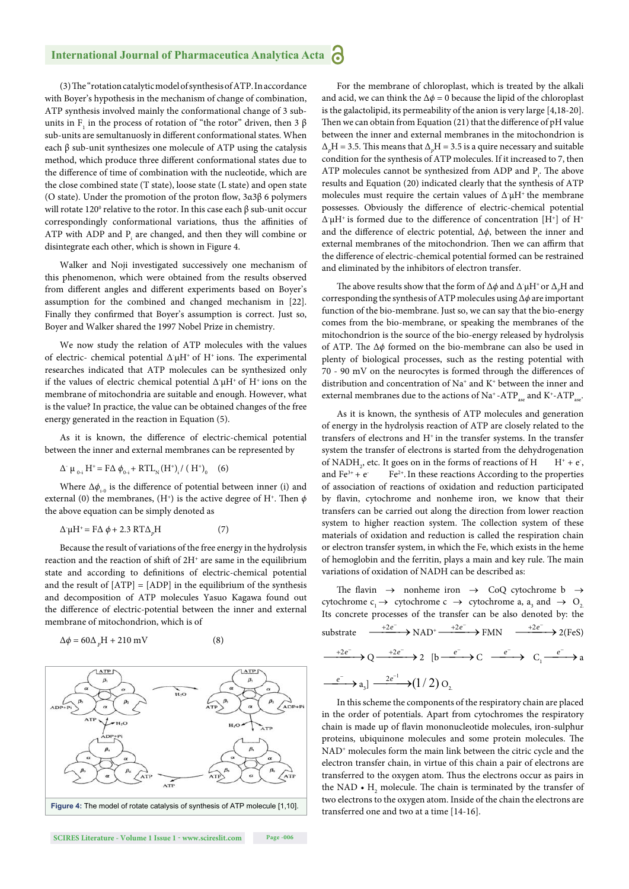#### **International Journal of Pharmaceutica Analytica Acta P**

(3) The "rotation catalytic model of synthesis of ATP. In accordance with Boyer's hypothesis in the mechanism of change of combination, ATP synthesis involved mainly the conformational change of 3 subunits in  $F_1$  in the process of rotation of "the rotor" driven, then 3  $\beta$ sub-units are semultanuosly in different conformational states. When each  $\beta$  sub-unit synthesizes one molecule of ATP using the catalysis method, which produce three different conformational states due to the difference of time of combination with the nucleotide, which are the close combined state (T state), loose state (L state) and open state (O state). Under the promotion of the proton flow,  $3a3\beta$  6 polymers will rotate 120<sup>0</sup> relative to the rotor. In this case each  $β$  sub-unit occur correspondingly conformational variations, thus the affinities of ATP with ADP and  $P_i$  are changed, and then they will combine or disintegrate each other, which is shown in Figure 4.

Walker and Noji investigated successively one mechanism of this phenomenon, which were obtained from the results observed from different angles and different experiments based on Boyer's assumption for the combined and changed mechanism in [22]. Finally they confirmed that Boyer's assumption is correct. Just so, Boyer and Walker shared the 1997 Nobel Prize in chemistry.

We now study the relation of ATP molecules with the values of electric- chemical potential  $\Delta \mu H^+$  of  $H^+$  ions. The experimental researches indicated that ATP molecules can be synthesized only if the values of electric chemical potential  $\Delta^{\cdot} \mu$ H<sup>+</sup> of H<sup>+</sup> ions on the membrane of mitochondria are suitable and enough. However, what is the value? In practice, the value can be obtained changes of the free energy generated in the reaction in Equation (5).

As it is known, the difference of electric-chemical potential between the inner and external membranes can be represented by

$$
\Delta^{\cdot} \mu_{0-i} H^{+} = F \Delta \phi_{0-i} + RT L_{N} (H^{+})_{i} / (H^{+})_{0} \quad (6)
$$

Where  $\Delta \phi_{i-0}$  is the difference of potential between inner (i) and external (0) the membranes, (H<sup>+</sup>) is the active degree of H<sup>+</sup>. Then  $\phi$ the above equation can be simply denoted as

$$
\Delta^2 \mu H^+ = F \Delta \phi + 2.3 \, RT \Delta_p H \tag{7}
$$

Because the result of variations of the free energy in the hydrolysis reaction and the reaction of shift of 2H<sup>+</sup> are same in the equilibrium state and according to definitions of electric-chemical potential and the result of  $[ATP] = [ADP]$  in the equilibrium of the synthesis and decomposition of ATP molecules Yasuo Kagawa found out the difference of electric-potential between the inner and external membrane of mitochondrion, which is of

$$
\Delta \phi = 60 \Delta_p H + 210 \text{ mV}
$$
 (8)



For the membrane of chloroplast, which is treated by the alkali and acid, we can think the  $\Delta \phi = 0$  because the lipid of the chloroplast is the galactolipid, its permeability of the anion is very large [4,18-20]. Then we can obtain from Equation  $(21)$  that the difference of pH value between the inner and external membranes in the mitochondrion is  $\Delta_p$ H = 3.5. This means that  $\Delta_p$ H = 3.5 is a quire necessary and suitable condition for the synthesis of ATP molecules. If it increased to 7, then ATP molecules cannot be synthesized from ADP and  $P_i$ . The above results and Equation (20) indicated clearly that the synthesis of ATP molecules must require the certain values of  $\Delta \mu H^+$  the membrane possesses. Obviously the difference of electric-chemical potential  $\Delta \mu$ H<sup>+</sup> is formed due to the difference of concentration [H<sup>+</sup>] of H<sup>+</sup> and the difference of electric potential, Δ $\phi$ , between the inner and external membranes of the mitochondrion. Then we can affirm that the difference of electric-chemical potential formed can be restrained and eliminated by the inhibitors of electron transfer.

The above results show that the form of  $\Delta \phi$  and  $\Delta^{\cdot} \mu H^{\text{-}}$  or  $\Delta_{\text{p}} H$  and corresponding the synthesis of ATP molecules using Δ*ϕ* are important function of the bio-membrane. Just so, we can say that the bio-energy comes from the bio-membrane, or speaking the membranes of the mitochondrion is the source of the bio-energy released by hydrolysis of ATP. The Δ*ϕ* formed on the bio-membrane can also be used in plenty of biological processes, such as the resting potential with  $70 - 90$  mV on the neurocytes is formed through the differences of distribution and concentration of Na+ and K+ between the inner and external membranes due to the actions of Na<sup>+</sup>-ATP<sub>ase</sub>. and K<sup>+</sup>-ATP<sub>ase</sub>.

As it is known, the synthesis of ATP molecules and generation of energy in the hydrolysis reaction of ATP are closely related to the transfers of electrons and H<sup>+</sup> in the transfer systems. In the transfer system the transfer of electrons is started from the dehydrogenation of NADH<sub>2</sub>, etc. It goes on in the forms of reactions of H  $H^+ + e^ H^+ + e^-.$ and  $Fe^{3+} + e^-$  Fe2+.In these reactions According to the properties of association of reactions of oxidation and reduction participated by flavin, cytochrome and nonheme iron, we know that their transfers can be carried out along the direction from lower reaction system to higher reaction system. The collection system of these materials of oxidation and reduction is called the respiration chain or electron transfer system, in which the Fe, which exists in the heme of hemoglobin and the ferritin, plays a main and key rule. The main variations of oxidation of NADH can be described as:

The flavin  $\rightarrow$  nonheme iron  $\rightarrow$  CoQ cytochrome b  $\rightarrow$ cytochrome  $c_1 \rightarrow$  cytochrome  $c \rightarrow$  cytochrome a,  $a_3$  and  $\rightarrow O_2$ . Its concrete processes of the transfer can be also denoted by: the  $\text{substrate} \quad \xrightarrow{+2e^-} \text{NAD}^+ \xrightarrow{+2e^-} \text{FMN} \quad \xrightarrow{+2e^-} 2(\text{FeS})$  $\longrightarrow$  Q  $\longrightarrow$  2 [b  $\stackrel{e^-}{\longrightarrow}$  C  $\stackrel{e^-}{\longrightarrow}$  C<sub>1</sub> $\stackrel{e^-}{\longrightarrow}$  a  $e^-$  a<sub>3</sub>]  $\xrightarrow{2e^{-1}} (1/2) O_2$ 

In this scheme the components of the respiratory chain are placed in the order of potentials. Apart from cytochromes the respiratory chain is made up of flavin mononucleotide molecules, iron-sulphur proteins, ubiquinone molecules and some protein molecules. The NAD<sup>+</sup> molecules form the main link between the citric cycle and the electron transfer chain, in virtue of this chain a pair of electrons are transferred to the oxygen atom. Thus the electrons occur as pairs in the NAD  $\bullet$  H<sub>2</sub> molecule. The chain is terminated by the transfer of two electrons to the oxygen atom. Inside of the chain the electrons are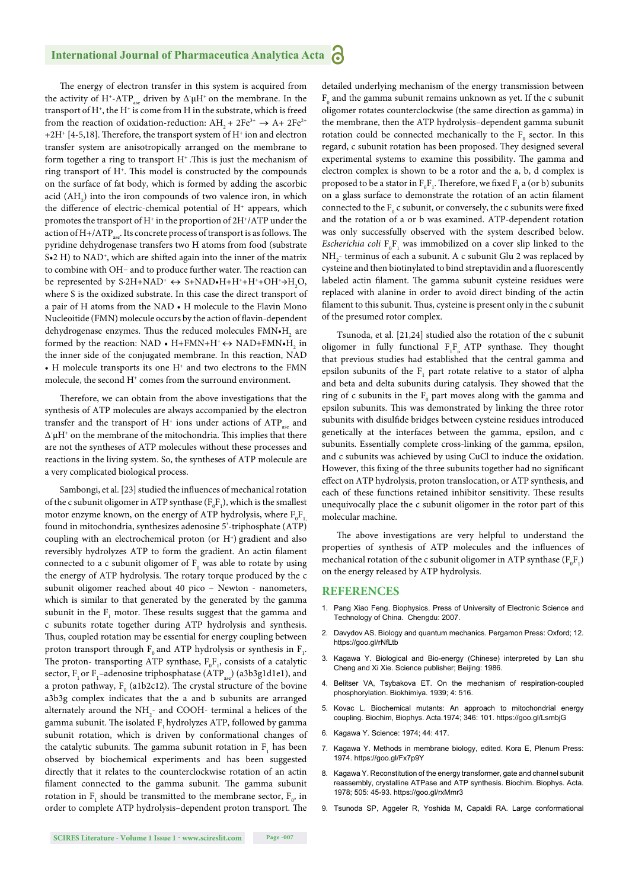The energy of electron transfer in this system is acquired from the activity of H<sup>+</sup>-ATP<sub>ase</sub> driven by  $\Delta^2 \mu$ H<sup>+</sup> on the membrane. In the transport of  $H^*$ , the  $H^*$  is come from H in the substrate, which is freed from the reaction of oxidation-reduction:  $AH_1 + 2Fe^{3+} \rightarrow A + 2Fe^{2+}$  $+2H^+$  [4-5,18]. Therefore, the transport system of  $H^+$  ion and electron transfer system are anisotropically arranged on the membrane to form together a ring to transport  $H^*$ . This is just the mechanism of ring transport of  $H^+$ . This model is constructed by the compounds on the surface of fat body, which is formed by adding the ascorbic acid  $(AH_2)$  into the iron compounds of two valence iron, in which the difference of electric-chemical potential of H<sup>+</sup> appears, which promotes the transport of  $\rm H^+$  in the proportion of  $\rm 2H^+/ATP$  under the action of  $H + /ATP$ <sub>sse</sub>. Its concrete process of transport is as follows. The pyridine dehydrogenase transfers two H atoms from food (substrate  $S<sub>•</sub>2 H$ ) to NAD<sup>+</sup>, which are shifted again into the inner of the matrix to combine with OH- and to produce further water. The reaction can be represented by S-2H+NAD<sup>+</sup>  $\leftrightarrow$  S+NAD•H+H<sup>+</sup>+H<sup>+</sup>+OH<sup>+</sup>→H<sub>2</sub>O, where S is the oxidized substrate. In this case the direct transport of a pair of H atoms from the NAD • H molecule to the Flavin Mono Nucleoitide (FMN) molecule occurs by the action of flavin-dependent dehydrogenase enzymes. Thus the reduced molecules  $\text{FMN} \bullet \text{H}_2$  are formed by the reaction: NAD • H+FMN+H<sup>+</sup>  $\leftrightarrow$  NAD+FMN•H<sub>2</sub> in the inner side of the conjugated membrane. In this reaction, NAD • H molecule transports its one  $H^+$  and two electrons to the FMN molecule, the second H<sup>+</sup> comes from the surround environment.

Therefore, we can obtain from the above investigations that the synthesis of ATP molecules are always accompanied by the electron transfer and the transport of  $H^+$  ions under actions of  $ATP_{aa}$  and  $\Delta \mu$ H<sup>+</sup> on the membrane of the mitochondria. This implies that there are not the syntheses of ATP molecules without these processes and reactions in the living system. So, the syntheses of ATP molecule are a very complicated biological process.

Sambongi, et al. [23] studied the influences of mechanical rotation of the c subunit oligomer in ATP synthase  $(F_0F_1)$ , which is the smallest motor enzyme known, on the energy of ATP hydrolysis, where  $\mathrm{F_{0}F_{1,}}$ found in mitochondria, synthesizes adenosine 5'-triphosphate (ATP) coupling with an electrochemical proton (or H<sup>+</sup>) gradient and also reversibly hydrolyzes ATP to form the gradient. An actin filament connected to a c subunit oligomer of  $F_0$  was able to rotate by using the energy of ATP hydrolysis. The rotary torque produced by the c subunit oligomer reached about 40 pico – Newton - nanometers, which is similar to that generated by the generated by the gamma subunit in the  $F_1$  motor. These results suggest that the gamma and c subunits rotate together during ATP hydrolysis and synthesis. Thus, coupled rotation may be essential for energy coupling between proton transport through  $F_0$  and ATP hydrolysis or synthesis in  $F_1$ . The proton- transporting ATP synthase,  $F_0F_1$ , consists of a catalytic sector,  $\mathrm{F_{_1}or~F_{_1}-adenosine~triphosphatase}$  (ATP  $_{\mathrm{ase}})$  (a3b3g1d1e1), and a proton pathway,  $F_0$  (a1b2c12). The crystal structure of the bovine a3b3g complex indicates that the a and b subunits are arranged alternately around the  $NH_2$ - and COOH- terminal a helices of the gamma subunit. The isolated F, hydrolyzes ATP, followed by gamma subunit rotation, which is driven by conformational changes of the catalytic subunits. The gamma subunit rotation in  $F_1$  has been observed by biochemical experiments and has been suggested directly that it relates to the counterclockwise rotation of an actin filament connected to the gamma subunit. The gamma subunit rotation in  $F_1$  should be transmitted to the membrane sector,  $F_o$ , in order to complete ATP hydrolysis-dependent proton transport. The

detailed underlying mechanism of the energy transmission between  $\mathrm{F_{o}}$  and the gamma subunit remains unknown as yet. If the c subunit oligomer rotates counterclockwise (the same direction as gamma) in the membrane, then the ATP hydrolysis–dependent gamma subunit rotation could be connected mechanically to the  $F_0$  sector. In this regard, c subunit rotation has been proposed. They designed several experimental systems to examine this possibility. The gamma and electron complex is shown to be a rotor and the a, b, d complex is proposed to be a stator in  $\mathrm{F_{0}F_{1}}.$  Therefore, we fixed  $\mathrm{F_{1}}$  a (or b) subunits on a glass surface to demonstrate the rotation of an actin filament connected to the  $F_0$  c subunit, or conversely, the c subunits were fixed and the rotation of a or b was examined. ATP-dependent rotation was only successfully observed with the system described below. *Escherichia coli*  $F_0F_1$  was immobilized on a cover slip linked to the  $\mathrm{NH}_2$  terminus of each a subunit. A c subunit Glu 2 was replaced by cysteine and then biotinylated to bind streptavidin and a fluorescently labeled actin filament. The gamma subunit cysteine residues were replaced with alanine in order to avoid direct binding of the actin filament to this subunit. Thus, cysteine is present only in the c subunit of the presumed rotor complex.

Tsunoda, et al. [21,24] studied also the rotation of the c subunit oligomer in fully functional  $F_1F_0$  ATP synthase. They thought that previous studies had established that the central gamma and epsilon subunits of the  $F_1$  part rotate relative to a stator of alpha and beta and delta subunits during catalysis. They showed that the ring of c subunits in the  $F_0$  part moves along with the gamma and epsilon subunits. This was demonstrated by linking the three rotor subunits with disulfide bridges between cysteine residues introduced genetically at the interfaces between the gamma, epsilon, and c subunits. Essentially complete cross-linking of the gamma, epsilon, and c subunits was achieved by using CuCl to induce the oxidation. However, this fixing of the three subunits together had no significant effect on ATP hydrolysis, proton translocation, or ATP synthesis, and each of these functions retained inhibitor sensitivity. These results unequivocally place the c subunit oligomer in the rotor part of this molecular machine.

The above investigations are very helpful to understand the properties of synthesis of ATP molecules and the influences of mechanical rotation of the c subunit oligomer in ATP synthase  $(F_0F_1)$ on the energy released by ATP hydrolysis.

#### **REFERENCES**

- 1. Pang Xiao Feng. Biophysics. Press of University of Electronic Science and Technology of China. Chengdu: 2007.
- 2. Davydov AS. Biology and quantum mechanics. Pergamon Press: Oxford; 12. https://goo.gl/rNfLtb
- 3. Kagawa Y. Biological and Bio-energy (Chinese) interpreted by Lan shu Cheng and Xi Xie. Science publisher; Beijing: 1986.
- 4. Belitser VA, Tsybakova ET. On the mechanism of respiration-coupled phosphorylation. Biokhimiya. 1939; 4: 516.
- 5. Kovac L. Biochemical mutants: An approach to mitochondrial energy coupling. Biochim, Biophys. Acta.1974; 346: 101. https://goo.gl/LsmbjG
- 6. Kagawa Y. Science: 1974; 44: 417.
- 7. Kagawa Y. Methods in membrane biology, edited. Kora E, Plenum Press: 1974. https://goo.gl/Fx7p9Y
- 8. Kagawa Y. Reconstitution of the energy transformer, gate and channel subunit reassembly, crystalline ATPase and ATP synthesis. Biochim. Biophys. Acta. 1978; 505: 45-93. https://goo.gl/rxMmr3
- 9. Tsunoda SP, Aggeler R, Yoshida M, Capaldi RA. Large conformational